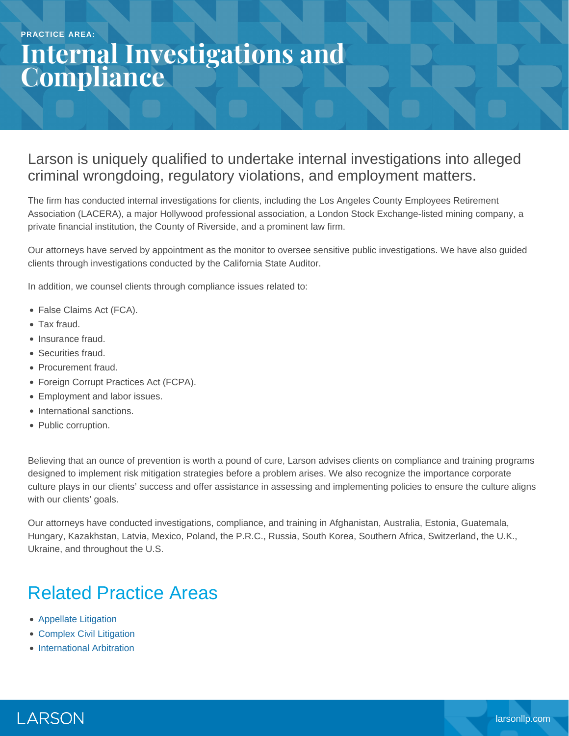# **Internal Investigations and Compliance**

#### Larson is uniquely qualified to undertake internal investigations into alleged criminal wrongdoing, regulatory violations, and employment matters.

The firm has conducted internal investigations for clients, including the Los Angeles County Employees Retirement Association (LACERA), a major Hollywood professional association, a London Stock Exchange-listed mining company, a private financial institution, the County of Riverside, and a prominent law firm.

Our attorneys have served by appointment as the monitor to oversee sensitive public investigations. We have also guided clients through investigations conducted by the California State Auditor.

In addition, we counsel clients through compliance issues related to:

- False Claims Act (FCA).
- Tax fraud.
- Insurance fraud.
- Securities fraud.
- Procurement fraud.
- Foreign Corrupt Practices Act (FCPA).
- **Employment and labor issues.**
- International sanctions.
- Public corruption.

Believing that an ounce of prevention is worth a pound of cure, Larson advises clients on compliance and training programs designed to implement risk mitigation strategies before a problem arises. We also recognize the importance corporate culture plays in our clients' success and offer assistance in assessing and implementing policies to ensure the culture aligns with our clients' goals.

Our attorneys have conducted investigations, compliance, and training in Afghanistan, Australia, Estonia, Guatemala, Hungary, Kazakhstan, Latvia, Mexico, Poland, the P.R.C., Russia, South Korea, Southern Africa, Switzerland, the U.K., Ukraine, and throughout the U.S.

### Related Practice Areas

- [Appellate Litigation](https://www.larsonllp.com/practice-areas/appellate-litigation/)
- [Complex Civil Litigation](https://www.larsonllp.com/practice-areas/complex-civil-litigation/)
- [International Arbitration](https://www.larsonllp.com/practice-areas/complex-civil-litigation/international-arbitration/)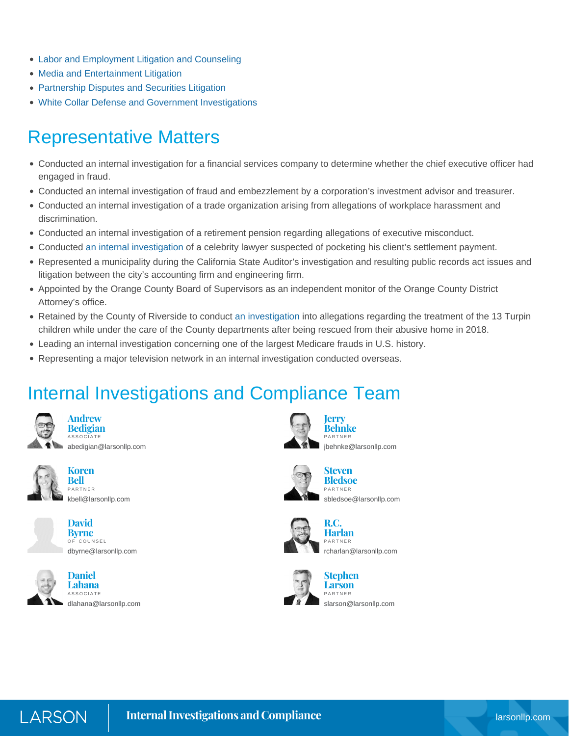- [Labor and Employment Litigation and Counseling](https://www.larsonllp.com/practice-areas/complex-civil-litigation/labor-and-employment-litigation-and-counseling/)
- [Media and Entertainment Litigation](https://www.larsonllp.com/practice-areas/complex-civil-litigation/media-and-entertainment-litigation/)
- **[Partnership Disputes and Securities Litigation](https://www.larsonllp.com/practice-areas/complex-civil-litigation/partnership-disputes-and-securities-litigation/)**
- [White Collar Defense and Government Investigations](https://www.larsonllp.com/practice-areas/white-collar-defense-and-government-investigations/)

### Representative Matters

- Conducted an internal investigation for a financial services company to determine whether the chief executive officer had engaged in fraud.
- Conducted an internal investigation of fraud and embezzlement by a corporation's investment advisor and treasurer.
- Conducted an internal investigation of a trade organization arising from allegations of workplace harassment and discrimination.
- Conducted an internal investigation of a retirement pension regarding allegations of executive misconduct.
- Conducted [an internal investigation](https://www.larsonllp.com/former-client-sues-michael-avenatti/) of a celebrity lawyer suspected of pocketing his client's settlement payment.
- Represented a municipality during the California State Auditor's investigation and resulting public records act issues and litigation between the city's accounting firm and engineering firm.
- Appointed by the Orange County Board of Supervisors as an independent monitor of the Orange County District Attorney's office.
- Retained by the County of Riverside to conduct [an investigation](https://www.larsonllp.com/larson-llp-leads-riverside-county-investigation/) into allegations regarding the treatment of the 13 Turpin children while under the care of the County departments after being rescued from their abusive home in 2018.
- Leading an internal investigation concerning one of the largest Medicare frauds in U.S. history.
- Representing a major television network in an internal investigation conducted overseas.

## Internal Investigations and Compliance Team



**Andrew Bedigian ASSOCIATE** [abedigian@larsonllp.com](mailto:abedigian@larsonllp.com)



**Koren Bell** PARTNER [kbell@larsonllp.com](mailto:kbell@larsonllp.com)





**Daniel Lahana** ASSOCIATE [dlahana@larsonllp.com](mailto:dlahana@larsonllp.com)



**Behnke** PARTNER [jbehnke@larsonllp.com](mailto:jbehnke@larsonllp.com)



**Bledsoe** PARTNER [sbledsoe@larsonllp.com](mailto:sbledsoe@larsonllp.com)

**Steven**



**R.C. Harlan** PARTNER [rcharlan@larsonllp.com](mailto:rcharlan@larsonllp.com)



**Larson** [slarson@larsonllp.com](mailto:slarson@larsonllp.com)